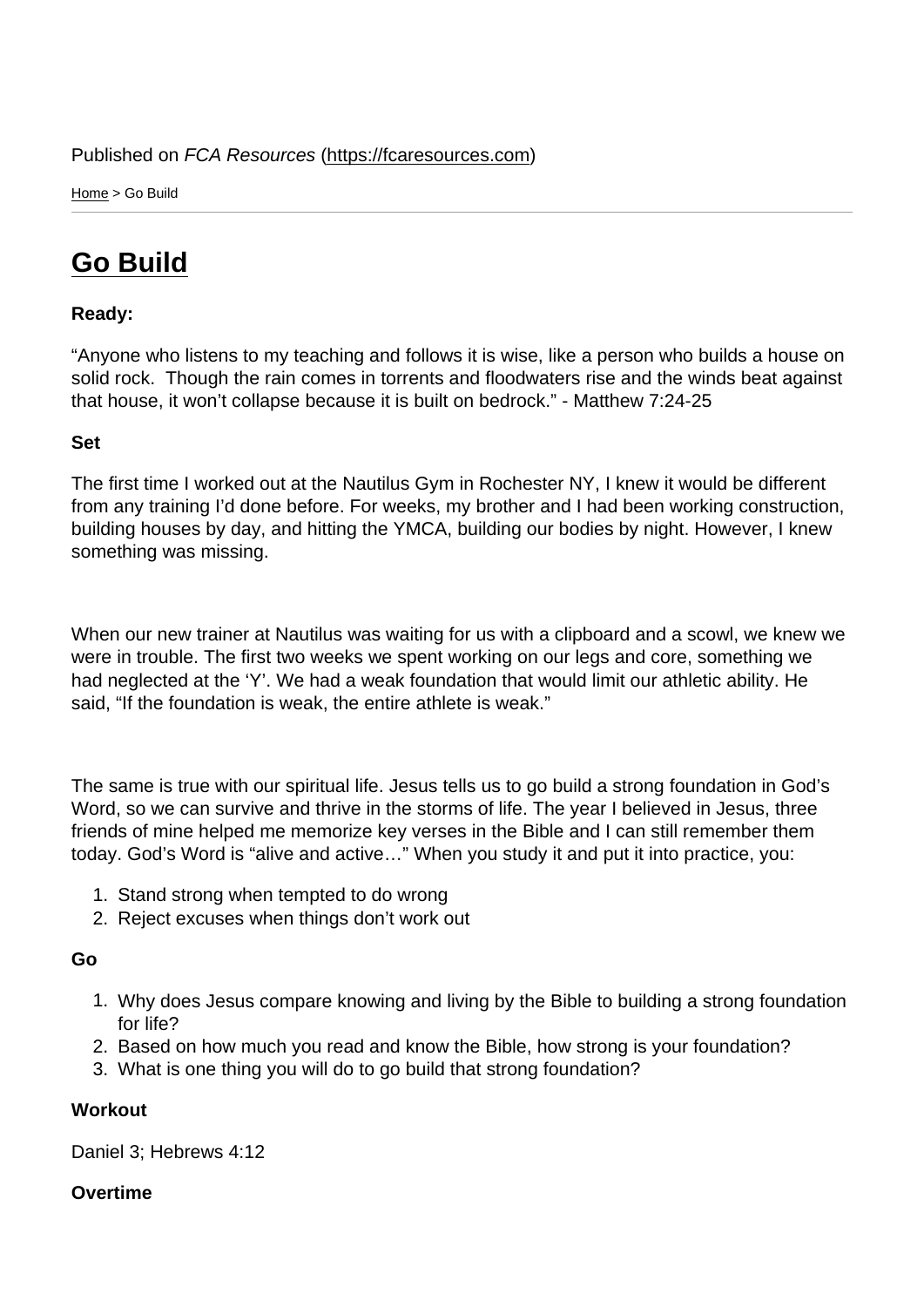Home > Go Build

## [Go](https://fcaresources.com/) Build

Ready:

["Anyone who l](https://fcaresources.com/devotional/go-build)istens to my teaching and follows it is wise, like a person who builds a house on solid rock. Though the rain comes in torrents and floodwaters rise and the winds beat against that house, it won't collapse because it is built on bedrock." - Matthew 7:24-25

Set

The first time I worked out at the Nautilus Gym in Rochester NY, I knew it would be different from any training I'd done before. For weeks, my brother and I had been working construction, building houses by day, and hitting the YMCA, building our bodies by night. However, I knew something was missing.

When our new trainer at Nautilus was waiting for us with a clipboard and a scowl, we knew we were in trouble. The first two weeks we spent working on our legs and core, something we had neglected at the 'Y'. We had a weak foundation that would limit our athletic ability. He said, "If the foundation is weak, the entire athlete is weak."

The same is true with our spiritual life. Jesus tells us to go build a strong foundation in God's Word, so we can survive and thrive in the storms of life. The year I believed in Jesus, three friends of mine helped me memorize key verses in the Bible and I can still remember them today. God's Word is "alive and active…" When you study it and put it into practice, you:

- 1. Stand strong when tempted to do wrong
- 2. Reject excuses when things don't work out

Go

- 1. Why does Jesus compare knowing and living by the Bible to building a strong foundation for life?
- 2. Based on how much you read and know the Bible, how strong is your foundation?
- 3. What is one thing you will do to go build that strong foundation?

**Workout** 

Daniel 3; Hebrews 4:12

**Overtime**